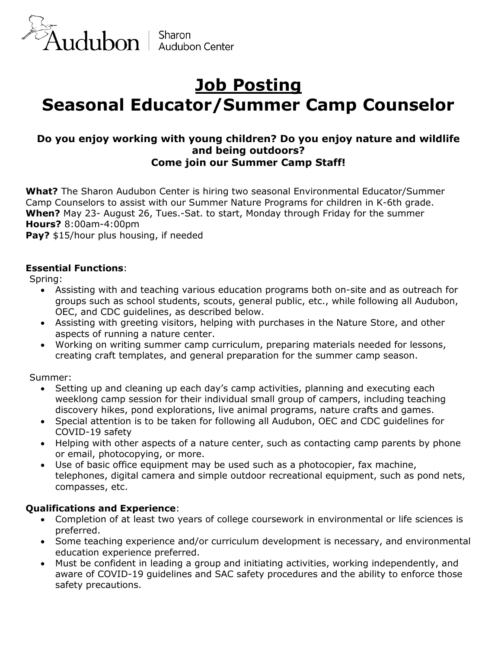

# **Job Posting Seasonal Educator/Summer Camp Counselor**

## **Do you enjoy working with young children? Do you enjoy nature and wildlife and being outdoors? Come join our Summer Camp Staff!**

**What?** The Sharon Audubon Center is hiring two seasonal Environmental Educator/Summer Camp Counselors to assist with our Summer Nature Programs for children in K-6th grade. **When?** May 23- August 26, Tues.-Sat. to start, Monday through Friday for the summer **Hours?** 8:00am-4:00pm

**Pay?** \$15/hour plus housing, if needed

### **Essential Functions**:

Spring:

- Assisting with and teaching various education programs both on-site and as outreach for groups such as school students, scouts, general public, etc., while following all Audubon, OEC, and CDC guidelines, as described below.
- Assisting with greeting visitors, helping with purchases in the Nature Store, and other aspects of running a nature center.
- Working on writing summer camp curriculum, preparing materials needed for lessons, creating craft templates, and general preparation for the summer camp season.

Summer:

- Setting up and cleaning up each day's camp activities, planning and executing each weeklong camp session for their individual small group of campers, including teaching discovery hikes, pond explorations, live animal programs, nature crafts and games.
- Special attention is to be taken for following all Audubon, OEC and CDC guidelines for COVID-19 safety
- Helping with other aspects of a nature center, such as contacting camp parents by phone or email, photocopying, or more.
- Use of basic office equipment may be used such as a photocopier, fax machine, telephones, digital camera and simple outdoor recreational equipment, such as pond nets, compasses, etc.

### **Qualifications and Experience**:

- Completion of at least two years of college coursework in environmental or life sciences is preferred.
- Some teaching experience and/or curriculum development is necessary, and environmental education experience preferred.
- Must be confident in leading a group and initiating activities, working independently, and aware of COVID-19 guidelines and SAC safety procedures and the ability to enforce those safety precautions.